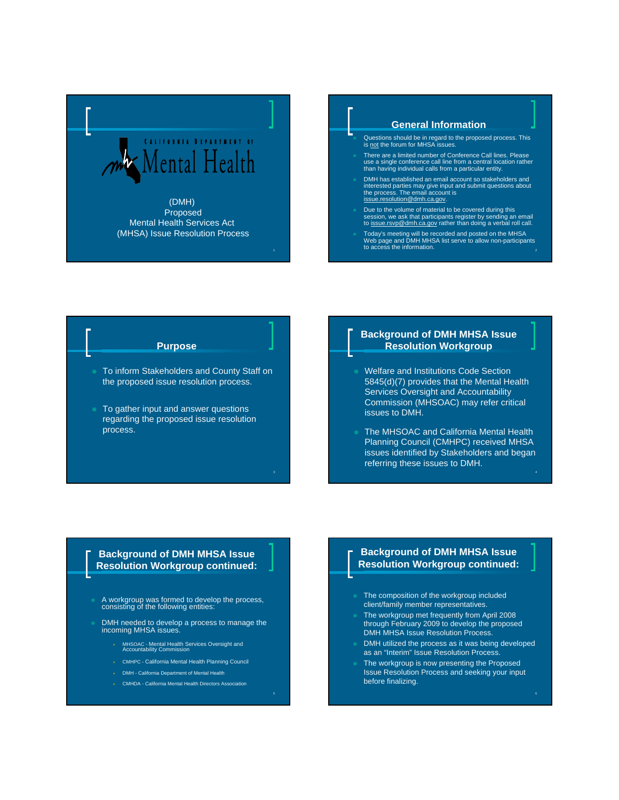

#### **General Information**

- Questions should be in regard to the proposed process. This is not the forum for MHSA issues.
- There are a limited number of Conference Call lines. Please use a single conference call line from a central location rather than having individual calls from a particular entity.
- DMH has established an email account so stakeholders and interested parties may give input and submit questions about<br>the process. The email account is<br><u>issue.resolution@dmh.ca.gov</u>.
- Due to the volume of material to be covered during this session, we ask that participants register by sending an email<br>to <u>issue.rsvp@dmh.ca.gov</u> rather than doing a verbal roll call.
- <sup>×</sup> Today's meeting will be recorded and posted on the MHSA Web page and DMH MHSA list serve to allow non-participants to access the information.

#### **Purpose**

- To inform Stakeholders and County Staff on the proposed issue resolution process.
- To gather input and answer questions regarding the proposed issue resolution process.

#### **Background of DMH MHSA Issue Resolution Workgroup**

- Welfare and Institutions Code Section 5845(d)(7) provides that the Mental Health Services Oversight and Accountability Commission (MHSOAC) may refer critical issues to DMH.
- The MHSOAC and California Mental Health Planning Council (CMHPC) received MHSA issues identified by Stakeholders and began referring these issues to DMH.

#### **Background of DMH MHSA Issue Resolution Workgroup continued:**

- × A workgroup was formed to develop the process, consisting of the following entities:
- × DMH needed to develop a process to manage the incoming MHSA issues.
	- <sup>Õ</sup> MHSOAC Mental Health Services Oversight and Accountability Commission
	- \* CMHPC California Mental Health Planning Council
	- **EXECUTE:** DMH California Department of Mental Health
	- \* CMHDA California Mental Health Directors Association

## **Background of DMH MHSA Issue Resolution Workgroup continued:**

- The composition of the workgroup included client/family member representatives.
- The workgroup met frequently from April 2008 through February 2009 to develop the proposed DMH MHSA Issue Resolution Process.
- DMH utilized the process as it was being developed as an "Interim" Issue Resolution Process.
- The workgroup is now presenting the Proposed Issue Resolution Process and seeking your input before finalizing.

2

4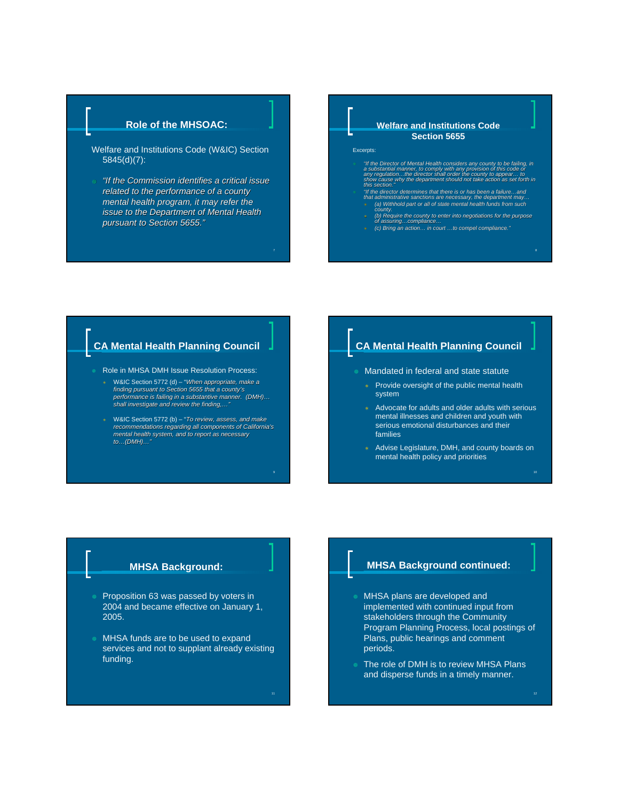## **Role of the MHSOAC:**

- Welfare and Institutions Code (W&IC) Section 5845(d)(7):
- <sup>×</sup> *"If the Commission identifies a critical issue If the Commission identifies a critical issue related to the performance of a county mental health program, it may refer the issue to the Department of Mental Health issue to the Department of Mental Health pursuant to Section 5655. pursuant to Section 5655."*

7

9

#### **Welfare and Institutions Code Section 5655**

#### Excerpts:

- *s* "If the Director of Mental Health considers any county to be failing, in<br>a substantial manner, to comply with any provision of this code or<br>any regulation...the director shall order the county to appear... to<br>show caus
- 
- © "If the director determines that there is or has been a failure...and<br>that administrative sanctions are necessary, the department may...<br>(a) Withhold part or all of state mental health funds from such<br>county.
- <sup>Ö</sup> *(b) Require the county to enter into negotiations for the purpose of assuring…compliance…*
- <sup>Ö</sup> *(c) Bring an action… in court …to compel compliance."*

8

# **CA Mental Health Planning Council**

- Role in MHSA DMH Issue Resolution Process:
	- <sup>Ö</sup> W&IC Section 5772 (d) "*When appropriate, make a finding pursuant to Section 5655 that a county's performance is failing in a substantive manner. (DMH)… shall investigate and review the finding,…"*
	- <sup>Ö</sup> W&IC Section 5772 (b) "*To review, assess, and make recommendations regarding all components of California's mental health system, and to report as necessary to…(DMH)…"*

## **CA Mental Health Planning Council**

- Mandated in federal and state statute
	- $*$  Provide oversight of the public mental health system
	- $*$  Advocate for adults and older adults with serious mental illnesses and children and youth with serious emotional disturbances and their families
	- Advise Legislature, DMH, and county boards on mental health policy and priorities

#### **MHSA Background:**

- Proposition 63 was passed by voters in 2004 and became effective on January 1, 2005.
- MHSA funds are to be used to expand services and not to supplant already existing funding.

#### **MHSA Background continued:**

- MHSA plans are developed and implemented with continued input from stakeholders through the Community Program Planning Process, local postings of Plans, public hearings and comment periods.
- The role of DMH is to review MHSA Plans and disperse funds in a timely manner.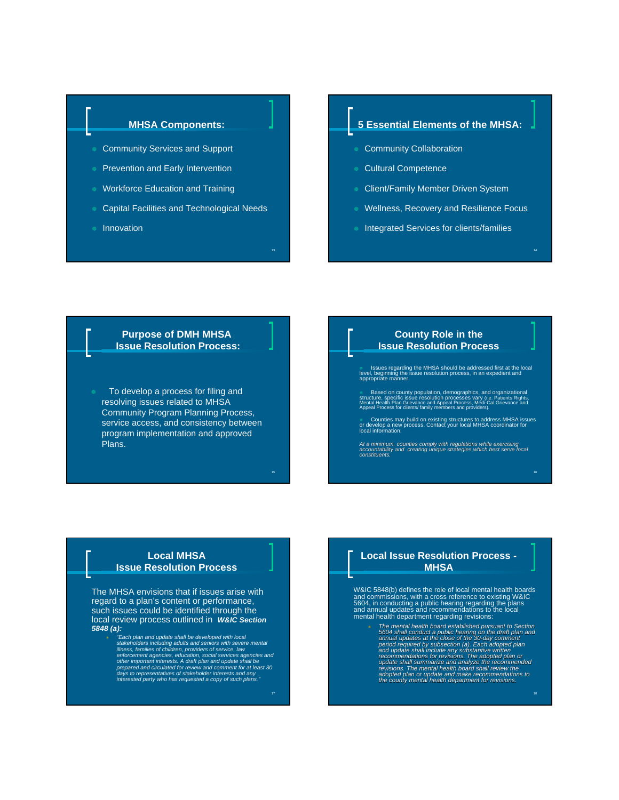### **MHSA Components:**

- Community Services and Support
- Prevention and Early Intervention
- **Workforce Education and Training**
- × Capital Facilities and Technological Needs
- × Innovation

#### **5 Essential Elements of the MHSA:**

- **Community Collaboration**
- **Cultural Competence**
- Client/Family Member Driven System
- Wellness, Recovery and Resilience Focus
- Integrated Services for clients/families

#### **Purpose of DMH MHSA Issue Resolution Process:**

To develop a process for filing and resolving issues related to MHSA Community Program Planning Process, service access, and consistency between program implementation and approved Plans.

#### **County Role in the Issue Resolution Process**

× Issues regarding the MHSA should be addressed first at the local level, beginning the issue resolution process, in an expedient and appropriate manner.

**Based on county population, demographics, and organizational**<br>structure, specific issue resolution processes vary (i.e. Patients Rights,<br>Mental Health Plan Grievance and Appeal Process, Medi-Cal Grievance and<br>Appeal Proce

× Counties may build on existing structures to address MHSA issues or develop a new process. Contact your local MHSA coordinator for local information.

At a minimum, counties comply with regulations while exercising<br>accountability and creating unique strategies which best serve local<br>constituents.

#### **Local MHSA Issue Resolution Process**

The MHSA envisions that if issues arise with regard to a plan's content or performance, such issues could be identified through the local review process outlined in *W&IC Section 5848 (a):*

<sup>Ö</sup> *"Each plan and update shall be developed with local*  stakeholders including adults and seniors with severe mental<br>stakeholders including adults and seniors with severe mental<br>enforcement agencies, education, social services agencies and<br>other important interests. A draft pla

#### **Local Issue Resolution Process - MHSA**

W&IC 5848(b) defines the role of local mental health boards and commissions, with a cross reference to existing W&IC 5604, in conducting a public hearing regarding the plans and annual updates and recommendations to the local mental health department regarding revisions:

- The mental health board established pursuant to Section<br>5604 shall conduct a public hearing on the draft plan and<br>annual updates at the close of the 30-day comment<br>period required by subsection (a). Each adopted plan<br>and
	-

17

13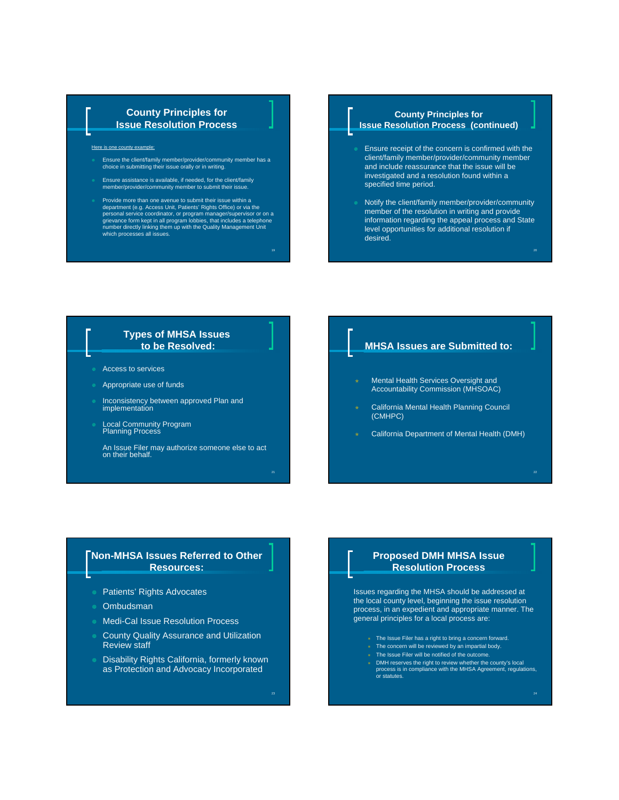#### **County Principles for Issue Resolution Process**

Here is one county example:

- Ensure the client/family member/provider/community member has a choice in submitting their issue orally or in writing.
- × Ensure assistance is available, if needed, for the client/family member/provider/community member to submit their issue.
- Provide more than one avenue to submit their issue within a department (e.g. Access Unit, Patients' Rights Office) or via the personal service coordinator, or program manager/supervisor or on a grievance form kept in all program lobbies, that includes a telephone number directly linking them up with the Quality Management Unit which processes all issues.

19

#### **County Principles for Issue Resolution Process (continued)**

- Ensure receipt of the concern is confirmed with the client/family member/provider/community member and include reassurance that the issue will be investigated and a resolution found within a specified time period.
- Notify the client/family member/provider/community member of the resolution in writing and provide information regarding the appeal process and State level opportunities for additional resolution if desired.

#### **Types of MHSA Issues to be Resolved:**

- Access to services
- Appropriate use of funds
- × Inconsistency between approved Plan and implementation
- × Local Community Program Planning Process

An Issue Filer may authorize someone else to act on their behalf.

# **MHSA Issues are Submitted to:**

- Mental Health Services Oversight and Accountability Commission (MHSOAC)
- California Mental Health Planning Council (CMHPC)
- California Department of Mental Health (DMH)

#### **Non-MHSA Issues Referred to Other Resources:**

- Patients' Rights Advocates
- **Ombudsman**
- Medi-Cal Issue Resolution Process
- County Quality Assurance and Utilization Review staff
- Disability Rights California, formerly known as Protection and Advocacy Incorporated

#### **Proposed DMH MHSA Issue Resolution Process**

Issues regarding the MHSA should be addressed at the local county level, beginning the issue resolution process, in an expedient and appropriate manner. The general principles for a local process are:

- \* The Issue Filer has a right to bring a concern forward.
- $*$  The concern will be reviewed by an impartial body.
- \* The Issue Filer will be notified of the outcome.
- <sup>Ö</sup> DMH reserves the right to review whether the county's local process is in compliance with the MHSA Agreement, regulations, or statutes.